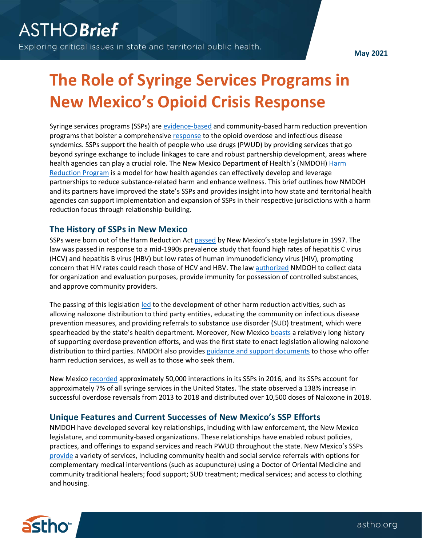**May 2021**

## **<sup>2020</sup> The Role of Syringe Services Programs in New Mexico's Opioid Crisis Response**

Syringe services programs (SSPs) are [evidence-based](https://www.cdc.gov/ssp/index.html) and community-based harm reduction prevention programs that bolster a comprehensive [response](https://www.hhs.gov/blog/2019/11/06/substance-misuse-infectious-disease-powerful-potential-syringe-service-programs.html) to the opioid overdose and infectious disease syndemics. SSPs support the health of people who use drugs (PWUD) by providing services that go beyond syringe exchange to include linkages to care and robust partnership development, areas where health agencies can play a crucial role. The New Mexico Department of Health's (NMDOH[\) Harm](https://www.nmhealth.org/about/phd/idb/hrp/)  [Reduction Program](https://www.nmhealth.org/about/phd/idb/hrp/) is a model for how health agencies can effectively develop and leverage partnerships to reduce substance-related harm and enhance wellness. This brief outlines how NMDOH and its partners have improved the state's SSPs and provides insight into how state and territorial health agencies can support implementation and expansion of SSPs in their respective jurisdictions with a harm reduction focus through relationship-building.

## **The History of SSPs in New Mexico**

SSPs were born out of the Harm Reduction Act [passed](https://nmhealth.org/publication/view/policy/2945/) by New Mexico's state legislature in 1997. The law was passed in response to a mid-1990s prevalence study that found high rates of hepatitis C virus (HCV) and hepatitis B virus (HBV) but low rates of human immunodeficiency virus (HIV), prompting concern that HIV rates could reach those of HCV and HBV. The law [authorized](https://www.hhs.gov/sites/default/files/OASH-Syringe-Service-Programs-Webinar-09162019.pdf) NMDOH to collect data for organization and evaluation purposes, provide immunity for possession of controlled substances, and approve community providers.

The passing of this legislation [led](https://www.nmhealth.org/publication/view/policy/2945/) to the development of other harm reduction activities, such as allowing naloxone distribution to third party entities, educating the community on infectious disease prevention measures, and providing referrals to substance use disorder (SUD) treatment, which were spearheaded by the state's health department. Moreover, New Mexico [boasts](https://www.hhs.gov/sites/default/files/OASH-Syringe-Service-Programs-Webinar-09162019.pdf) a relatively long history of supporting overdose prevention efforts, and was the first state to enact legislation allowing naloxone distribution to third parties. NMDOH also provides [guidance and support documents](https://www.nmhealth.org/about/phd/idb/hrp/publications/) to those who offer harm reduction services, as well as to those who seek them.

New Mexico [recorded](https://astho.informz.net/ASTHO/data/images/IDB%20LFC-summary-19%20harm-reduct%20(1).pdf) approximately 50,000 interactions in its SSPs in 2016, and its SSP[s account](https://www.nmlegis.gov/(X(1)S(abcg2kgfipx45vclr5mqhhlf))/handouts/TSROC%20081318%20Item%201%20Harm%20Reduction%20Program%202017%20Program%20Overview.pdf) for approximately 7% of all syringe services in the United States. The state observed a 138% increase in successful overdose reversals from 2013 to 2018 and distributed over 10,500 doses of Naloxone in 2018.

## **Unique Features and Current Successes of New Mexico's SSP Efforts**

NMDOH have developed several key relationships, including with law enforcement, the New Mexico legislature, and community-based organizations. These relationships have enabled robust policies, practices, and offerings to expand services and reach PWUD throughout the state. New Mexico's SSPs [provide](https://www.nmhealth.org/about/phd/idb/hrp/publications/) a variety of services, including community health and social service referrals with options for complementary medical interventions (such as acupuncture) using a Doctor of Oriental Medicine and community traditional healers; food support; SUD treatment; medical services; and access to clothing and housing.